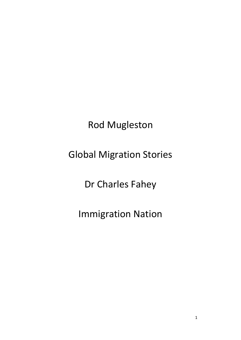Rod Mugleston

Global Migration Stories

Dr Charles Fahey

Immigration Nation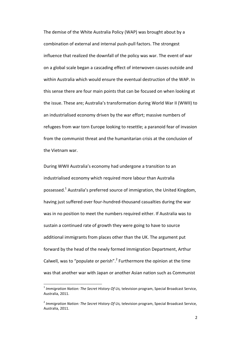The demise of the White Australia Policy (WAP) was brought about by a combination of external and internal push-pull factors. The strongest influence that realized the downfall of the policy was war. The event of war on a global scale began a cascading effect of interwoven causes outside and within Australia which would ensure the eventual destruction of the WAP. In this sense there are four main points that can be focused on when looking at the issue. These are; Australia's transformation during World War II (WWII) to an industrialised economy driven by the war effort; massive numbers of refugees from war torn Europe looking to resettle; a paranoid fear of invasion from the communist threat and the humanitarian crisis at the conclusion of the Vietnam war.

During WWII Australia's economy had undergone a transition to an industrialised economy which required more labour than Australia possessed.<sup>1</sup> Australia's preferred source of immigration, the United Kingdom, having just suffered over four-hundred-thousand casualties during the war was in no position to meet the numbers required either. If Australia was to sustain a continued rate of growth they were going to have to source additional immigrants from places other than the UK. The argument put forward by the head of the newly formed Immigration Department, Arthur Calwell, was to "populate or perish".<sup>2</sup> Furthermore the opinion at the time was that another war with Japan or another Asian nation such as Communist

l

<sup>1</sup> *Immigration Nation: The Secret History Of Us,* television program, Special Broadcast Service, Australia, 2011.

<sup>2</sup> *Immigration Nation: The Secret History Of Us,* television program, Special Broadcast Service, Australia, 2011.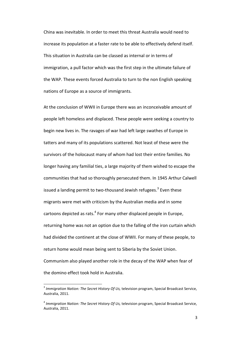China was inevitable. In order to meet this threat Australia would need to increase its population at a faster rate to be able to effectively defend itself. This situation in Australia can be classed as internal or in terms of immigration, a pull factor which was the first step in the ultimate failure of the WAP. These events forced Australia to turn to the non English speaking nations of Europe as a source of immigrants.

At the conclusion of WWII in Europe there was an inconceivable amount of people left homeless and displaced. These people were seeking a country to begin new lives in. The ravages of war had left large swathes of Europe in tatters and many of its populations scattered. Not least of these were the survivors of the holocaust many of whom had lost their entire families. No longer having any familial ties, a large majority of them wished to escape the communities that had so thoroughly persecuted them. In 1945 Arthur Calwell issued a landing permit to two-thousand Jewish refugees.<sup>3</sup> Even these migrants were met with criticism by the Australian media and in some cartoons depicted as rats.<sup>4</sup> For many other displaced people in Europe, returning home was not an option due to the falling of the iron curtain which had divided the continent at the close of WWII. For many of these people, to return home would mean being sent to Siberia by the Soviet Union. Communism also played another role in the decay of the WAP when fear of the domino effect took hold in Australia.

l

<sup>3</sup> *Immigration Nation: The Secret History Of Us,* television program, Special Broadcast Service, Australia, 2011.

<sup>4</sup> *Immigration Nation: The Secret History Of Us,* television program, Special Broadcast Service, Australia, 2011.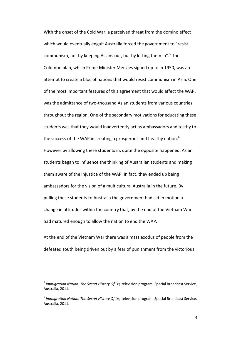With the onset of the Cold War, a perceived threat from the domino effect which would eventually engulf Australia forced the government to "resist communism, not by keeping Asians out, but by letting them in".<sup>5</sup> The Colombo plan, which Prime Minister Menzies signed up to in 1950, was an attempt to create a bloc of nations that would resist communism in Asia. One of the most important features of this agreement that would affect the WAP, was the admittance of two-thousand Asian students from various countries throughout the region. One of the secondary motivations for educating these students was that they would inadvertently act as ambassadors and testify to the success of the WAP in creating a prosperous and healthy nation.<sup>6</sup> However by allowing these students in, quite the opposite happened. Asian students began to influence the thinking of Australian students and making them aware of the injustice of the WAP. In fact, they ended up being ambassadors for the vision of a multicultural Australia in the future. By pulling these students to Australia the government had set in motion a change in attitudes within the country that, by the end of the Vietnam War had matured enough to allow the nation to end the WAP.

At the end of the Vietnam War there was a mass exodus of people from the defeated south being driven out by a fear of punishment from the victorious

 $\overline{\phantom{a}}$ 

<sup>5</sup> *Immigration Nation: The Secret History Of Us,* television program, Special Broadcast Service, Australia, 2011.

<sup>6</sup> *Immigration Nation: The Secret History Of Us,* television program, Special Broadcast Service, Australia, 2011.